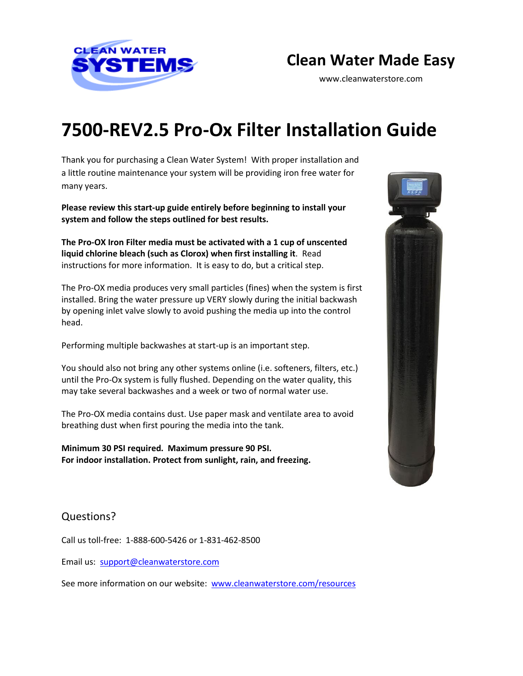

## **Clean Water Made Easy**

www.cleanwaterstore.com

# **7500-REV2.5 Pro-Ox Filter Installation Guide**

Thank you for purchasing a Clean Water System! With proper installation and a little routine maintenance your system will be providing iron free water for many years.

**Please review this start-up guide entirely before beginning to install your system and follow the steps outlined for best results.**

**The Pro-OX Iron Filter media must be activated with a 1 cup of unscented liquid chlorine bleach (such as Clorox) when first installing it**. Read instructions for more information. It is easy to do, but a critical step.

The Pro-OX media produces very small particles (fines) when the system is first installed. Bring the water pressure up VERY slowly during the initial backwash by opening inlet valve slowly to avoid pushing the media up into the control head.

Performing multiple backwashes at start-up is an important step.

You should also not bring any other systems online (i.e. softeners, filters, etc.) until the Pro-Ox system is fully flushed. Depending on the water quality, this may take several backwashes and a week or two of normal water use.

The Pro-OX media contains dust. Use paper mask and ventilate area to avoid breathing dust when first pouring the media into the tank.

**Minimum 30 PSI required. Maximum pressure 90 PSI. For indoor installation. Protect from sunlight, rain, and freezing.**



## Questions?

Call us toll-free: 1-888-600-5426 or 1-831-462-8500

Email us: [support@cleanwaterstore.com](mailto:support@cleanwaterstore.com)

See more information on our website: [www.cleanwaterstore.com/resources](http://www.cleanwaterstore.com/resources)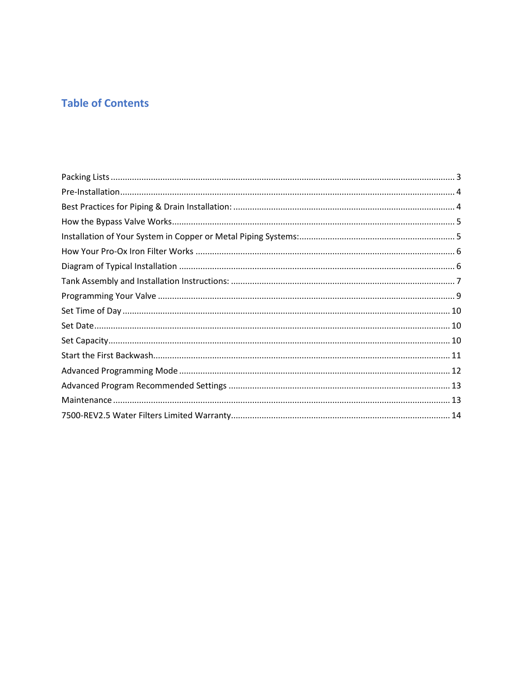## **Table of Contents**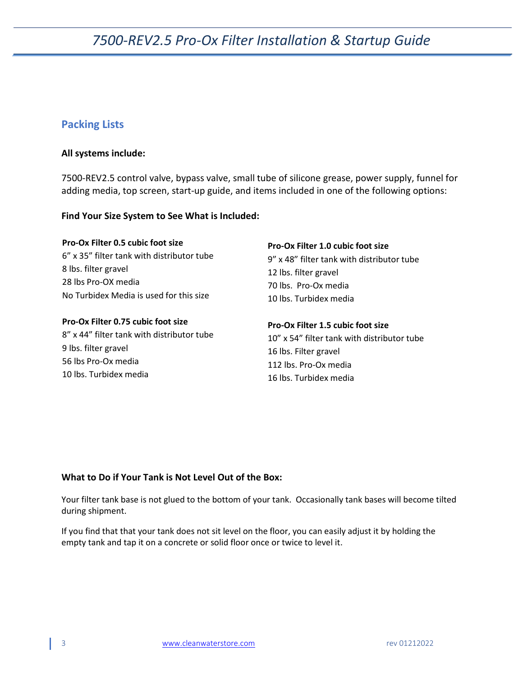### <span id="page-2-0"></span>**Packing Lists**

#### **All systems include:**

7500-REV2.5 control valve, bypass valve, small tube of silicone grease, power supply, funnel for adding media, top screen, start-up guide, and items included in one of the following options:

#### **Find Your Size System to See What is Included:**

| <b>Pro-Ox Filter 0.5 cubic foot size</b>   | Pro-Ox Filter 1.0 cubic foot size           |
|--------------------------------------------|---------------------------------------------|
| 6" x 35" filter tank with distributor tube | 9" x 48" filter tank with distributor tube  |
| 8 lbs. filter gravel                       | 12 lbs. filter gravel                       |
| 28 lbs Pro-OX media                        | 70 lbs. Pro-Ox media                        |
| No Turbidex Media is used for this size    | 10 lbs. Turbidex media                      |
| Pro-Ox Filter 0.75 cubic foot size         | Pro-Ox Filter 1.5 cubic foot size           |
| 8" x 44" filter tank with distributor tube | 10" x 54" filter tank with distributor tube |
| 9 lbs. filter gravel                       | 16 lbs. Filter gravel                       |
| 56 lbs Pro-Ox media                        | 112 lbs. Pro-Ox media                       |
| 10 lbs. Turbidex media                     | 16 lbs. Turbidex media                      |

#### **What to Do if Your Tank is Not Level Out of the Box:**

Your filter tank base is not glued to the bottom of your tank. Occasionally tank bases will become tilted during shipment.

If you find that that your tank does not sit level on the floor, you can easily adjust it by holding the empty tank and tap it on a concrete or solid floor once or twice to level it.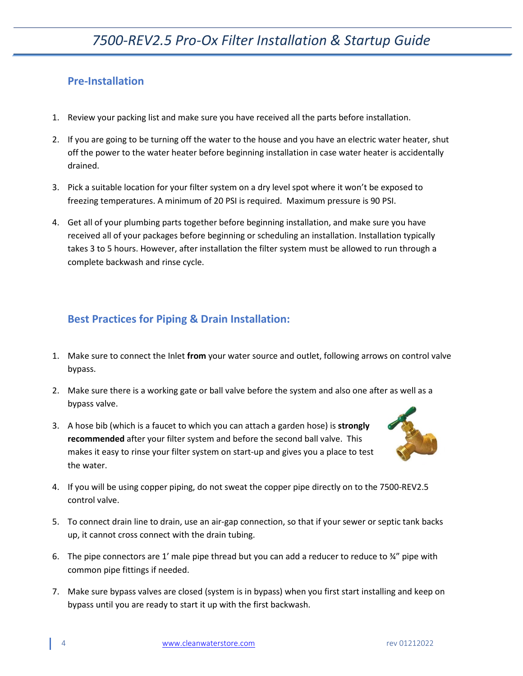## <span id="page-3-0"></span>**Pre-Installation**

- 1. Review your packing list and make sure you have received all the parts before installation.
- 2. If you are going to be turning off the water to the house and you have an electric water heater, shut off the power to the water heater before beginning installation in case water heater is accidentally drained.
- 3. Pick a suitable location for your filter system on a dry level spot where it won't be exposed to freezing temperatures. A minimum of 20 PSI is required. Maximum pressure is 90 PSI.
- 4. Get all of your plumbing parts together before beginning installation, and make sure you have received all of your packages before beginning or scheduling an installation. Installation typically takes 3 to 5 hours. However, after installation the filter system must be allowed to run through a complete backwash and rinse cycle.

## <span id="page-3-1"></span>**Best Practices for Piping & Drain Installation:**

- 1. Make sure to connect the Inlet **from** your water source and outlet, following arrows on control valve bypass.
- 2. Make sure there is a working gate or ball valve before the system and also one after as well as a bypass valve.
- 3. A hose bib (which is a faucet to which you can attach a garden hose) is **strongly recommended** after your filter system and before the second ball valve. This makes it easy to rinse your filter system on start-up and gives you a place to test the water.



- 4. If you will be using copper piping, do not sweat the copper pipe directly on to the 7500-REV2.5 control valve.
- 5. To connect drain line to drain, use an air-gap connection, so that if your sewer or septic tank backs up, it cannot cross connect with the drain tubing.
- 6. The pipe connectors are 1' male pipe thread but you can add a reducer to reduce to  $\frac{3}{4}$ " pipe with common pipe fittings if needed.
- 7. Make sure bypass valves are closed (system is in bypass) when you first start installing and keep on bypass until you are ready to start it up with the first backwash.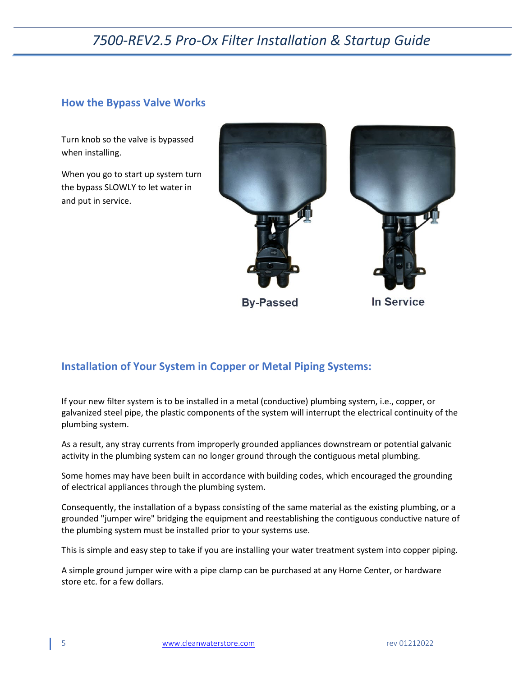### <span id="page-4-0"></span>**How the Bypass Valve Works**

Turn knob so the valve is bypassed when installing.

When you go to start up system turn the bypass SLOWLY to let water in and put in service.



### <span id="page-4-1"></span>**Installation of Your System in Copper or Metal Piping Systems:**

If your new filter system is to be installed in a metal (conductive) plumbing system, i.e., copper, or galvanized steel pipe, the plastic components of the system will interrupt the electrical continuity of the plumbing system.

As a result, any stray currents from improperly grounded appliances downstream or potential galvanic activity in the plumbing system can no longer ground through the contiguous metal plumbing.

Some homes may have been built in accordance with building codes, which encouraged the grounding of electrical appliances through the plumbing system.

Consequently, the installation of a bypass consisting of the same material as the existing plumbing, or a grounded "jumper wire" bridging the equipment and reestablishing the contiguous conductive nature of the plumbing system must be installed prior to your systems use.

This is simple and easy step to take if you are installing your water treatment system into copper piping.

A simple ground jumper wire with a pipe clamp can be purchased at any Home Center, or hardware store etc. for a few dollars.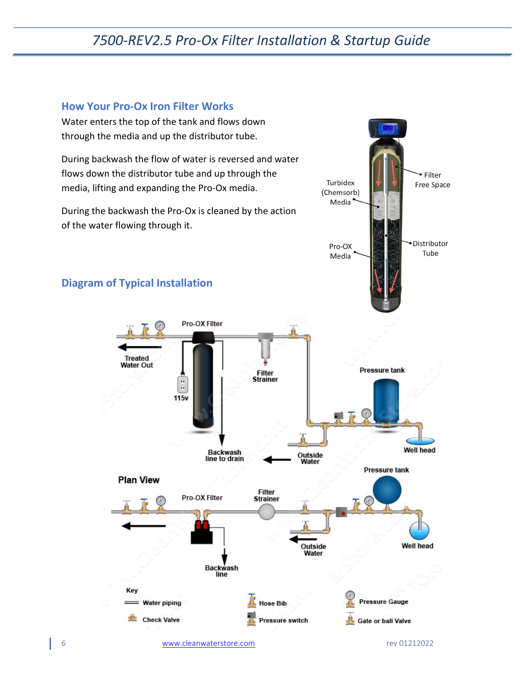### <span id="page-5-0"></span>**How Your Pro-Ox Iron Filter Works**

<span id="page-5-1"></span>Water enters the top of the tank and flows down through the media and up the distributor tube. During backwash the flow of water is reversed and water flows down the distributor tube and up through the Filter Turbidex Free Space media, lifting and expanding the Pro-Ox media. (Chemsorb) Media During the backwash the Pro-Ox is cleaned by the action of the water flowing through it. Distributor Pro-OX Tube Media **Diagram of Typical Installation**Pro-OX Filter **Treated Water Out Pressure tank** Filter **Strainer**  $\frac{1}{11}$ 115v **Well head Backwash** Outside line to drain Water **Pressure tank Plan View** Filter<br>Strainer Pro-OX Filter **Well head** Outside Water **Backwash** line Key Hose Bib **Pressure Gauge** = Water piping  $0 -$ **Check Valve** Pressure switch **Gate or ball Valve**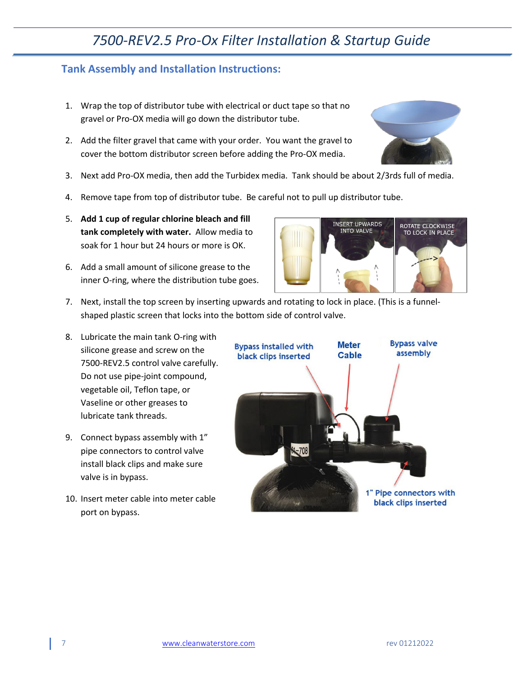### <span id="page-6-0"></span>**Tank Assembly and Installation Instructions:**

- 1. Wrap the top of distributor tube with electrical or duct tape so that no gravel or Pro-OX media will go down the distributor tube.
- 2. Add the filter gravel that came with your order. You want the gravel to cover the bottom distributor screen before adding the Pro-OX media.
- 3. Next add Pro-OX media, then add the Turbidex media. Tank should be about 2/3rds full of media.
- 4. Remove tape from top of distributor tube. Be careful not to pull up distributor tube.
- 5. **Add 1 cup of regular chlorine bleach and fill tank completely with water.** Allow media to soak for 1 hour but 24 hours or more is OK.
- 6. Add a small amount of silicone grease to the inner O-ring, where the distribution tube goes.



- 7. Next, install the top screen by inserting upwards and rotating to lock in place. (This is a funnelshaped plastic screen that locks into the bottom side of control valve.
- 8. Lubricate the main tank O-ring with silicone grease and screw on the 7500-REV2.5 control valve carefully. Do not use pipe-joint compound, vegetable oil, Teflon tape, or Vaseline or other greases to lubricate tank threads.
- 9. Connect bypass assembly with 1" pipe connectors to control valve install black clips and make sure valve is in bypass.
- 10. Insert meter cable into meter cable port on bypass.



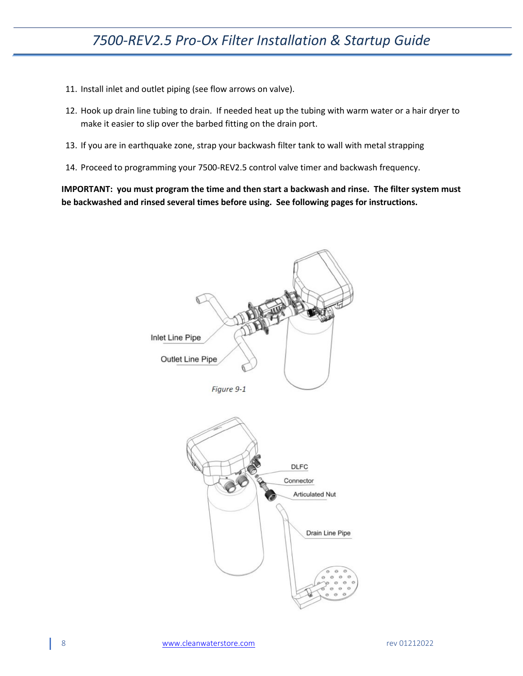- 11. Install inlet and outlet piping (see flow arrows on valve).
- 12. Hook up drain line tubing to drain. If needed heat up the tubing with warm water or a hair dryer to make it easier to slip over the barbed fitting on the drain port.
- 13. If you are in earthquake zone, strap your backwash filter tank to wall with metal strapping
- 14. Proceed to programming your 7500-REV2.5 control valve timer and backwash frequency.

**IMPORTANT: you must program the time and then start a backwash and rinse. The filter system must be backwashed and rinsed several times before using. See following pages for instructions.**

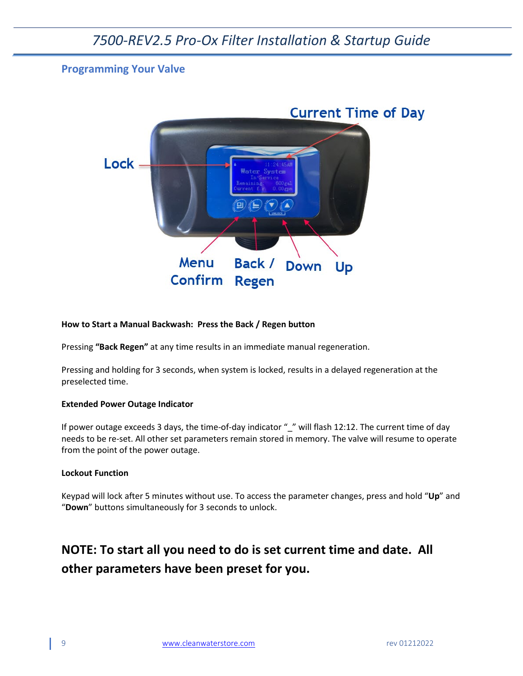### <span id="page-8-0"></span>**Programming Your Valve**



#### **How to Start a Manual Backwash: Press the Back / Regen button**

Pressing **"Back Regen"** at any time results in an immediate manual regeneration.

Pressing and holding for 3 seconds, when system is locked, results in a delayed regeneration at the preselected time.

#### **Extended Power Outage Indicator**

If power outage exceeds 3 days, the time-of-day indicator "\_" will flash 12:12. The current time of day needs to be re-set. All other set parameters remain stored in memory. The valve will resume to operate from the point of the power outage.

#### **Lockout Function**

Keypad will lock after 5 minutes without use. To access the parameter changes, press and hold "**Up**" and "**Down**" buttons simultaneously for 3 seconds to unlock.

## **NOTE: To start all you need to do is set current time and date. All other parameters have been preset for you.**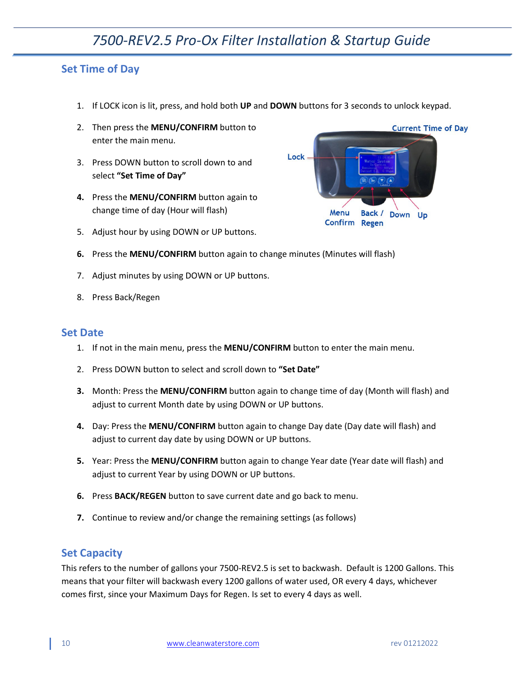### <span id="page-9-0"></span>**Set Time of Day**

1. If LOCK icon is lit, press, and hold both **UP** and **DOWN** buttons for 3 seconds to unlock keypad.

Lock

Menu

Confirm Regen

Back /

- 2. Then press the **MENU/CONFIRM** button to enter the main menu.
- 3. Press DOWN button to scroll down to and select **"Set Time of Day"**
- **4.** Press the **MENU/CONFIRM** button again to change time of day (Hour will flash)
- 5. Adjust hour by using DOWN or UP buttons.



- 7. Adjust minutes by using DOWN or UP buttons.
- 8. Press Back/Regen

#### <span id="page-9-1"></span>**Set Date**

- 1. If not in the main menu, press the **MENU/CONFIRM** button to enter the main menu.
- 2. Press DOWN button to select and scroll down to **"Set Date"**
- **3.** Month: Press the **MENU/CONFIRM** button again to change time of day (Month will flash) and adjust to current Month date by using DOWN or UP buttons.
- **4.** Day: Press the **MENU/CONFIRM** button again to change Day date (Day date will flash) and adjust to current day date by using DOWN or UP buttons.
- **5.** Year: Press the **MENU/CONFIRM** button again to change Year date (Year date will flash) and adjust to current Year by using DOWN or UP buttons.
- **6.** Press **BACK/REGEN** button to save current date and go back to menu.
- **7.** Continue to review and/or change the remaining settings (as follows)

### <span id="page-9-2"></span>**Set Capacity**

This refers to the number of gallons your 7500-REV2.5 is set to backwash. Default is 1200 Gallons. This means that your filter will backwash every 1200 gallons of water used, OR every 4 days, whichever comes first, since your Maximum Days for Regen. Is set to every 4 days as well.



Down

Up

**Current Time of Day**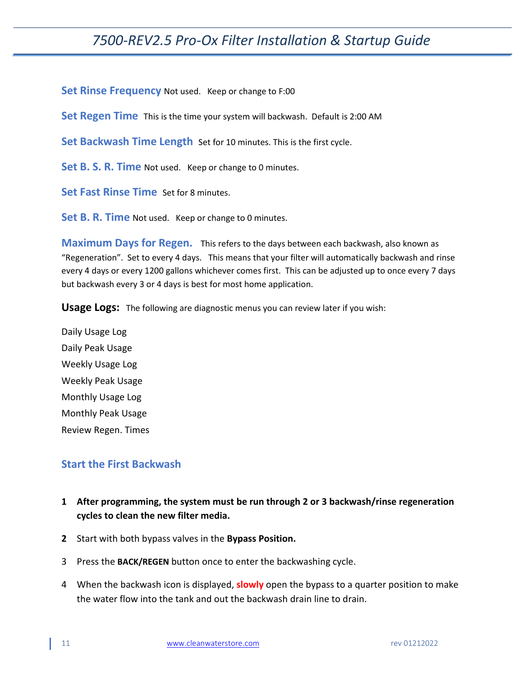**Set Rinse Frequency** Not used. Keep or change to F:00

**Set Regen Time** This is the time your system will backwash. Default is 2:00 AM

**Set Backwash Time Length** Set for 10 minutes. This is the first cycle.

**Set B. S. R. Time** Not used. Keep or change to 0 minutes.

**Set Fast Rinse Time** Set for 8 minutes.

**Set B. R. Time** Not used. Keep or change to 0 minutes.

**Maximum Days for Regen.** This refers to the days between each backwash, also known as "Regeneration". Set to every 4 days. This means that your filter will automatically backwash and rinse every 4 days or every 1200 gallons whichever comes first. This can be adjusted up to once every 7 days but backwash every 3 or 4 days is best for most home application.

**Usage Logs:** The following are diagnostic menus you can review later if you wish:

Daily Usage Log Daily Peak Usage Weekly Usage Log Weekly Peak Usage Monthly Usage Log Monthly Peak Usage Review Regen. Times

### <span id="page-10-0"></span>**Start the First Backwash**

- **1 After programming, the system must be run through 2 or 3 backwash/rinse regeneration cycles to clean the new filter media.**
- **2** Start with both bypass valves in the **Bypass Position.**
- 3 Press the **BACK/REGEN** button once to enter the backwashing cycle.
- 4 When the backwash icon is displayed, **slowly** open the bypass to a quarter position to make the water flow into the tank and out the backwash drain line to drain.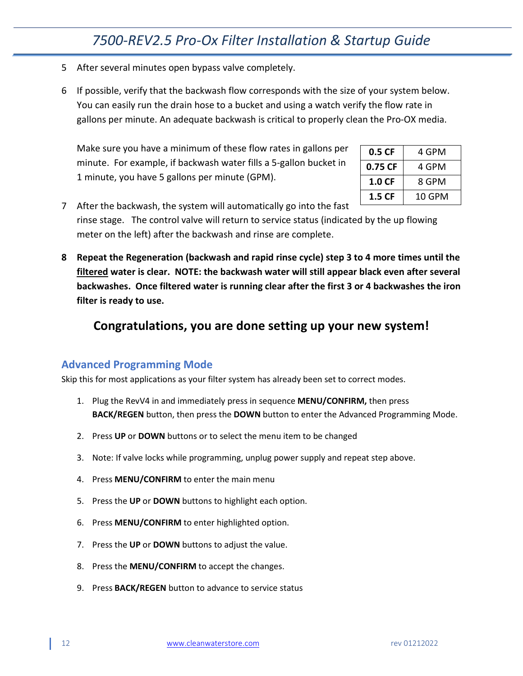- 5 After several minutes open bypass valve completely.
- 6 If possible, verify that the backwash flow corresponds with the size of your system below. You can easily run the drain hose to a bucket and using a watch verify the flow rate in gallons per minute. An adequate backwash is critical to properly clean the Pro-OX media.

Make sure you have a minimum of these flow rates in gallons per minute. For example, if backwash water fills a 5-gallon bucket in 1 minute, you have 5 gallons per minute (GPM).

| 0.5 CF    | 4 GPM  |
|-----------|--------|
| 0.75 CF   | 4 GPM  |
| $1.0 C$ F | 8 GPM  |
| 1.5 CF    | 10 GPM |

7 After the backwash, the system will automatically go into the fast rinse stage. The control valve will return to service status (indicated by the up flowing meter on the left) after the backwash and rinse are complete.

**8 Repeat the Regeneration (backwash and rapid rinse cycle) step 3 to 4 more times until the filtered water is clear. NOTE: the backwash water will still appear black even after several backwashes. Once filtered water is running clear after the first 3 or 4 backwashes the iron filter is ready to use.**

## **Congratulations, you are done setting up your new system!**

### <span id="page-11-0"></span>**Advanced Programming Mode**

Skip this for most applications as your filter system has already been set to correct modes.

- 1. Plug the RevV4 in and immediately press in sequence **MENU/CONFIRM,** then press **BACK/REGEN** button, then press the **DOWN** button to enter the Advanced Programming Mode.
- 2. Press **UP** or **DOWN** buttons or to select the menu item to be changed
- 3. Note: If valve locks while programming, unplug power supply and repeat step above.
- 4. Press **MENU/CONFIRM** to enter the main menu
- 5. Press the **UP** or **DOWN** buttons to highlight each option.
- 6. Press **MENU/CONFIRM** to enter highlighted option.
- 7. Press the **UP** or **DOWN** buttons to adjust the value.
- 8. Press the **MENU/CONFIRM** to accept the changes.
- 9. Press **BACK/REGEN** button to advance to service status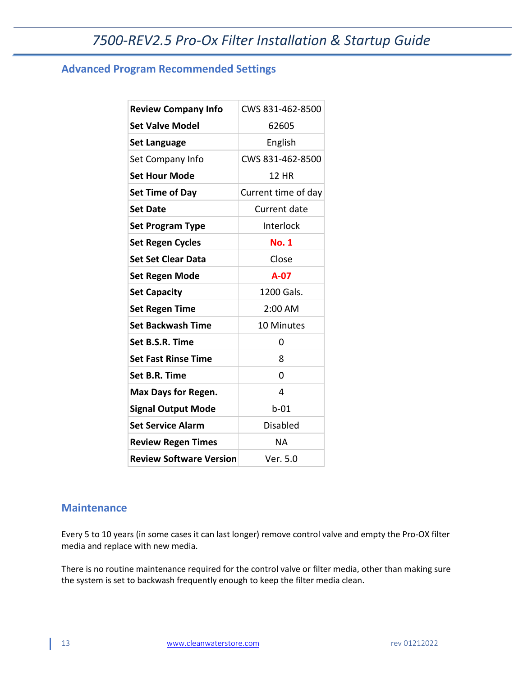## <span id="page-12-0"></span>**Advanced Program Recommended Settings**

| <b>Review Company Info</b>     | CWS 831-462-8500    |
|--------------------------------|---------------------|
| <b>Set Valve Model</b>         | 62605               |
| <b>Set Language</b>            | English             |
| Set Company Info               | CWS 831-462-8500    |
| <b>Set Hour Mode</b>           | <b>12 HR</b>        |
| Set Time of Day                | Current time of day |
| <b>Set Date</b>                | Current date        |
| <b>Set Program Type</b>        | Interlock           |
| <b>Set Regen Cycles</b>        | <b>No. 1</b>        |
| <b>Set Set Clear Data</b>      | Close               |
| Set Regen Mode                 | A-07                |
| <b>Set Capacity</b>            | 1200 Gals.          |
| <b>Set Regen Time</b>          | 2:00 AM             |
| <b>Set Backwash Time</b>       | 10 Minutes          |
| Set B.S.R. Time                | 0                   |
| <b>Set Fast Rinse Time</b>     | 8                   |
| Set B.R. Time                  | 0                   |
| <b>Max Days for Regen.</b>     | 4                   |
| <b>Signal Output Mode</b>      | $b-01$              |
| <b>Set Service Alarm</b>       | <b>Disabled</b>     |
| <b>Review Regen Times</b>      | <b>NA</b>           |
| <b>Review Software Version</b> | Ver. 5.0            |

### <span id="page-12-1"></span>**Maintenance**

Every 5 to 10 years (in some cases it can last longer) remove control valve and empty the Pro-OX filter media and replace with new media.

There is no routine maintenance required for the control valve or filter media, other than making sure the system is set to backwash frequently enough to keep the filter media clean.